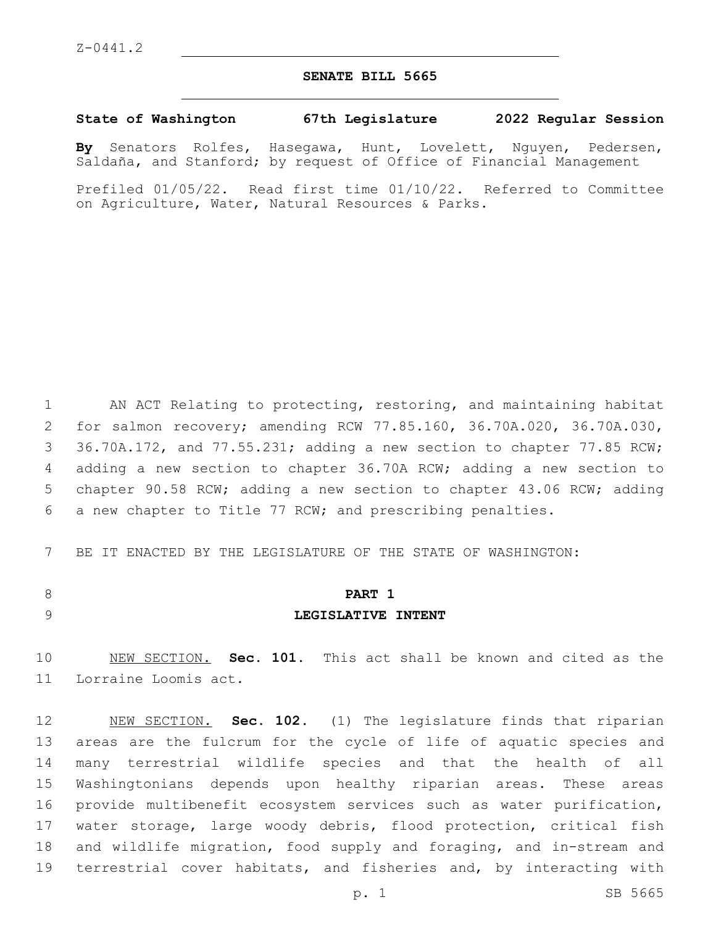## **SENATE BILL 5665**

## **State of Washington 67th Legislature 2022 Regular Session**

**By** Senators Rolfes, Hasegawa, Hunt, Lovelett, Nguyen, Pedersen, Saldaña, and Stanford; by request of Office of Financial Management

Prefiled 01/05/22. Read first time 01/10/22. Referred to Committee on Agriculture, Water, Natural Resources & Parks.

 AN ACT Relating to protecting, restoring, and maintaining habitat for salmon recovery; amending RCW 77.85.160, 36.70A.020, 36.70A.030, 3 36.70A.172, and 77.55.231; adding a new section to chapter 77.85 RCW; adding a new section to chapter 36.70A RCW; adding a new section to chapter 90.58 RCW; adding a new section to chapter 43.06 RCW; adding a new chapter to Title 77 RCW; and prescribing penalties.

BE IT ENACTED BY THE LEGISLATURE OF THE STATE OF WASHINGTON:

# **PART 1 LEGISLATIVE INTENT**

 NEW SECTION. **Sec. 101.** This act shall be known and cited as the Lorraine Loomis act.

 NEW SECTION. **Sec. 102.** (1) The legislature finds that riparian areas are the fulcrum for the cycle of life of aquatic species and many terrestrial wildlife species and that the health of all Washingtonians depends upon healthy riparian areas. These areas provide multibenefit ecosystem services such as water purification, water storage, large woody debris, flood protection, critical fish and wildlife migration, food supply and foraging, and in-stream and 19 terrestrial cover habitats, and fisheries and, by interacting with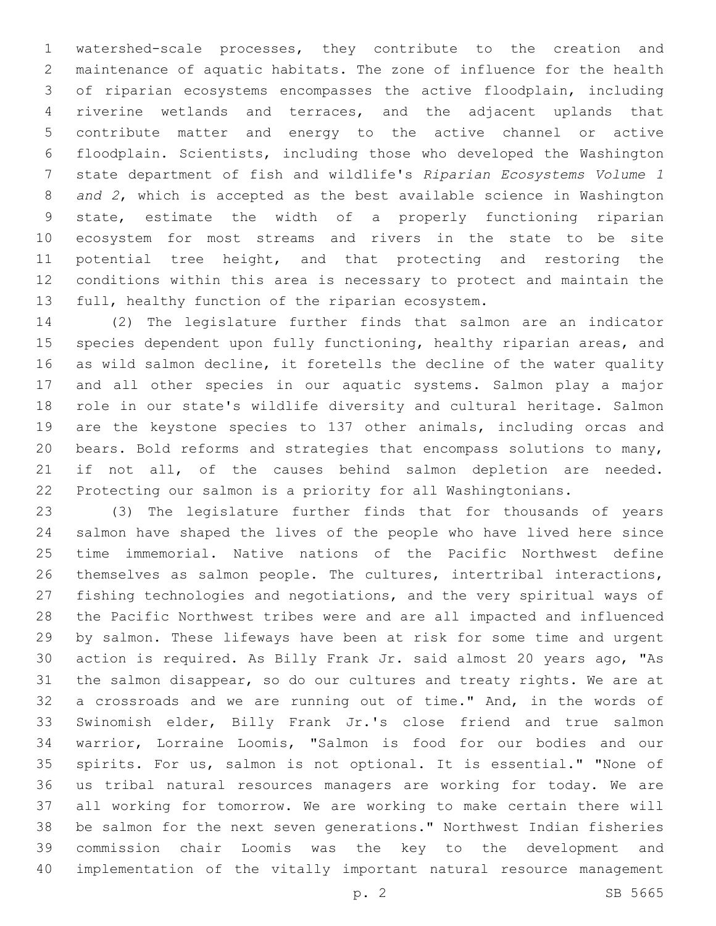watershed-scale processes, they contribute to the creation and maintenance of aquatic habitats. The zone of influence for the health of riparian ecosystems encompasses the active floodplain, including riverine wetlands and terraces, and the adjacent uplands that contribute matter and energy to the active channel or active floodplain. Scientists, including those who developed the Washington state department of fish and wildlife's *Riparian Ecosystems Volume 1 and 2*, which is accepted as the best available science in Washington state, estimate the width of a properly functioning riparian ecosystem for most streams and rivers in the state to be site 11 potential tree height, and that protecting and restoring the conditions within this area is necessary to protect and maintain the 13 full, healthy function of the riparian ecosystem.

 (2) The legislature further finds that salmon are an indicator species dependent upon fully functioning, healthy riparian areas, and 16 as wild salmon decline, it foretells the decline of the water quality and all other species in our aquatic systems. Salmon play a major role in our state's wildlife diversity and cultural heritage. Salmon are the keystone species to 137 other animals, including orcas and bears. Bold reforms and strategies that encompass solutions to many, if not all, of the causes behind salmon depletion are needed. Protecting our salmon is a priority for all Washingtonians.

 (3) The legislature further finds that for thousands of years salmon have shaped the lives of the people who have lived here since time immemorial. Native nations of the Pacific Northwest define themselves as salmon people. The cultures, intertribal interactions, fishing technologies and negotiations, and the very spiritual ways of the Pacific Northwest tribes were and are all impacted and influenced by salmon. These lifeways have been at risk for some time and urgent action is required. As Billy Frank Jr. said almost 20 years ago, "As the salmon disappear, so do our cultures and treaty rights. We are at a crossroads and we are running out of time." And, in the words of Swinomish elder, Billy Frank Jr.'s close friend and true salmon warrior, Lorraine Loomis, "Salmon is food for our bodies and our spirits. For us, salmon is not optional. It is essential." "None of us tribal natural resources managers are working for today. We are all working for tomorrow. We are working to make certain there will be salmon for the next seven generations." Northwest Indian fisheries commission chair Loomis was the key to the development and implementation of the vitally important natural resource management

p. 2 SB 5665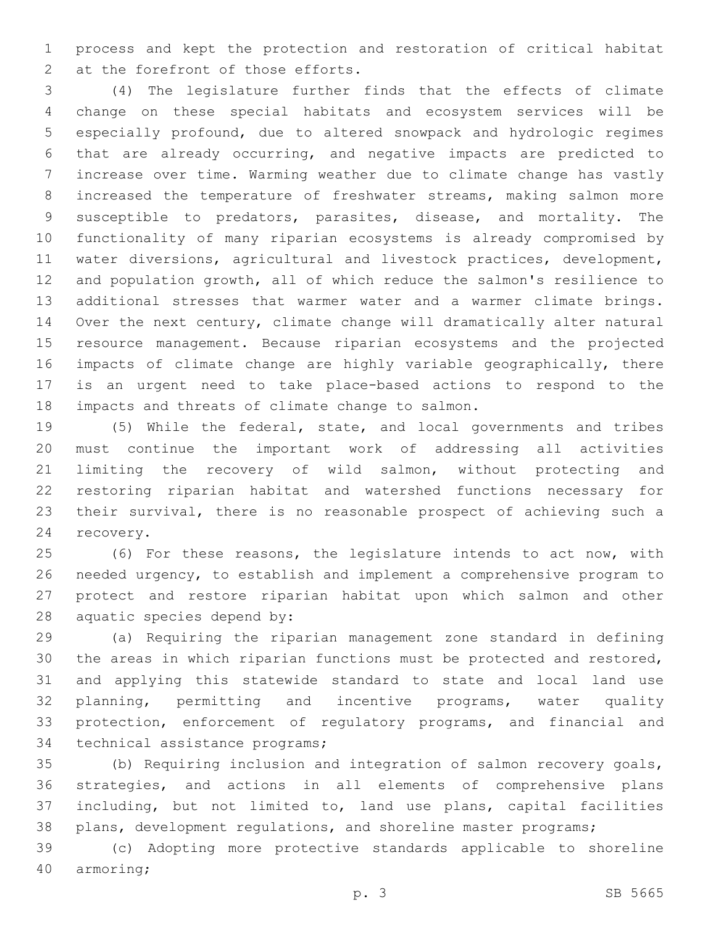process and kept the protection and restoration of critical habitat 2 at the forefront of those efforts.

 (4) The legislature further finds that the effects of climate change on these special habitats and ecosystem services will be especially profound, due to altered snowpack and hydrologic regimes that are already occurring, and negative impacts are predicted to increase over time. Warming weather due to climate change has vastly increased the temperature of freshwater streams, making salmon more susceptible to predators, parasites, disease, and mortality. The functionality of many riparian ecosystems is already compromised by water diversions, agricultural and livestock practices, development, and population growth, all of which reduce the salmon's resilience to additional stresses that warmer water and a warmer climate brings. Over the next century, climate change will dramatically alter natural resource management. Because riparian ecosystems and the projected impacts of climate change are highly variable geographically, there is an urgent need to take place-based actions to respond to the 18 impacts and threats of climate change to salmon.

 (5) While the federal, state, and local governments and tribes must continue the important work of addressing all activities limiting the recovery of wild salmon, without protecting and restoring riparian habitat and watershed functions necessary for their survival, there is no reasonable prospect of achieving such a 24 recovery.

 (6) For these reasons, the legislature intends to act now, with needed urgency, to establish and implement a comprehensive program to protect and restore riparian habitat upon which salmon and other 28 aquatic species depend by:

 (a) Requiring the riparian management zone standard in defining the areas in which riparian functions must be protected and restored, and applying this statewide standard to state and local land use planning, permitting and incentive programs, water quality protection, enforcement of regulatory programs, and financial and 34 technical assistance programs;

 (b) Requiring inclusion and integration of salmon recovery goals, strategies, and actions in all elements of comprehensive plans including, but not limited to, land use plans, capital facilities plans, development regulations, and shoreline master programs;

 (c) Adopting more protective standards applicable to shoreline 40 armoring;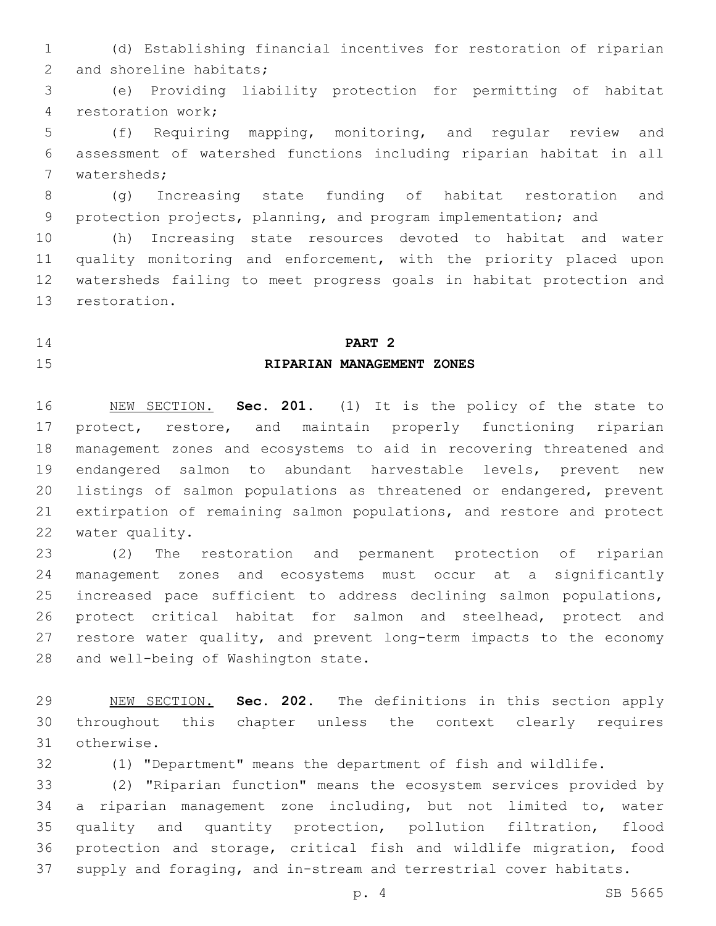(d) Establishing financial incentives for restoration of riparian 2 and shoreline habitats;

 (e) Providing liability protection for permitting of habitat 4 restoration work;

 (f) Requiring mapping, monitoring, and regular review and assessment of watershed functions including riparian habitat in all 7 watersheds;

 (g) Increasing state funding of habitat restoration and protection projects, planning, and program implementation; and

 (h) Increasing state resources devoted to habitat and water 11 quality monitoring and enforcement, with the priority placed upon watersheds failing to meet progress goals in habitat protection and 13 restoration.

### **PART 2**

## **RIPARIAN MANAGEMENT ZONES**

 NEW SECTION. **Sec. 201.** (1) It is the policy of the state to 17 protect, restore, and maintain properly functioning riparian management zones and ecosystems to aid in recovering threatened and endangered salmon to abundant harvestable levels, prevent new listings of salmon populations as threatened or endangered, prevent extirpation of remaining salmon populations, and restore and protect water quality.

 (2) The restoration and permanent protection of riparian management zones and ecosystems must occur at a significantly increased pace sufficient to address declining salmon populations, protect critical habitat for salmon and steelhead, protect and restore water quality, and prevent long-term impacts to the economy 28 and well-being of Washington state.

 NEW SECTION. **Sec. 202.** The definitions in this section apply throughout this chapter unless the context clearly requires otherwise.

(1) "Department" means the department of fish and wildlife.

 (2) "Riparian function" means the ecosystem services provided by a riparian management zone including, but not limited to, water quality and quantity protection, pollution filtration, flood protection and storage, critical fish and wildlife migration, food supply and foraging, and in-stream and terrestrial cover habitats.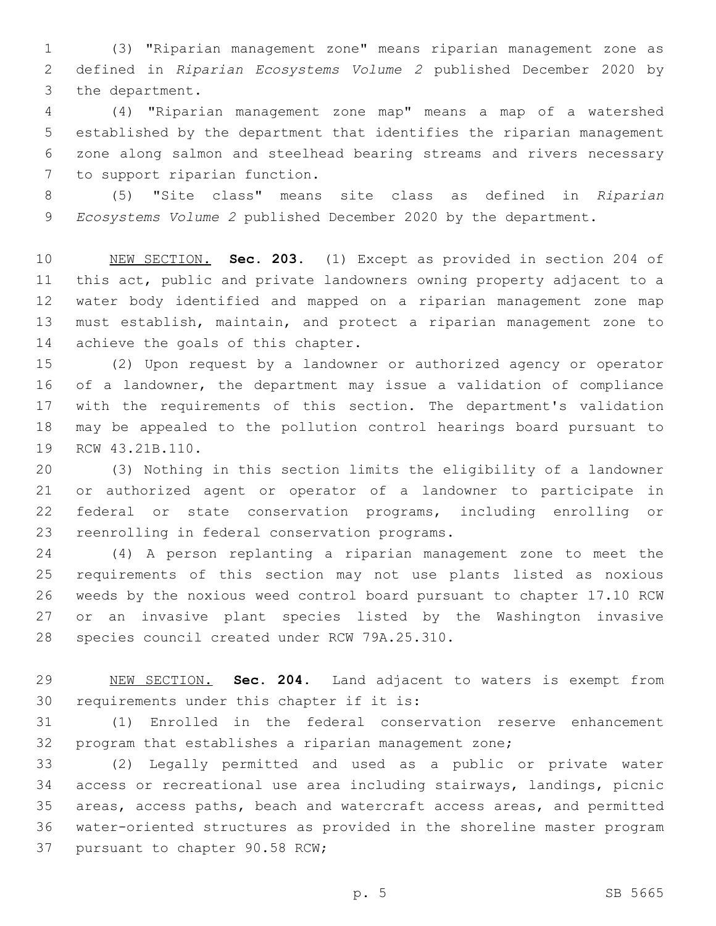(3) "Riparian management zone" means riparian management zone as defined in *Riparian Ecosystems Volume 2* published December 2020 by 3 the department.

 (4) "Riparian management zone map" means a map of a watershed established by the department that identifies the riparian management zone along salmon and steelhead bearing streams and rivers necessary 7 to support riparian function.

 (5) "Site class" means site class as defined in *Riparian Ecosystems Volume 2* published December 2020 by the department.

 NEW SECTION. **Sec. 203.** (1) Except as provided in section 204 of this act, public and private landowners owning property adjacent to a water body identified and mapped on a riparian management zone map must establish, maintain, and protect a riparian management zone to 14 achieve the goals of this chapter.

 (2) Upon request by a landowner or authorized agency or operator of a landowner, the department may issue a validation of compliance with the requirements of this section. The department's validation may be appealed to the pollution control hearings board pursuant to 19 RCW 43.21B.110.

 (3) Nothing in this section limits the eligibility of a landowner or authorized agent or operator of a landowner to participate in federal or state conservation programs, including enrolling or 23 reenrolling in federal conservation programs.

 (4) A person replanting a riparian management zone to meet the requirements of this section may not use plants listed as noxious weeds by the noxious weed control board pursuant to chapter 17.10 RCW or an invasive plant species listed by the Washington invasive 28 species council created under RCW 79A.25.310.

 NEW SECTION. **Sec. 204.** Land adjacent to waters is exempt from requirements under this chapter if it is:

 (1) Enrolled in the federal conservation reserve enhancement program that establishes a riparian management zone;

 (2) Legally permitted and used as a public or private water access or recreational use area including stairways, landings, picnic areas, access paths, beach and watercraft access areas, and permitted water-oriented structures as provided in the shoreline master program 37 pursuant to chapter 90.58 RCW;

p. 5 SB 5665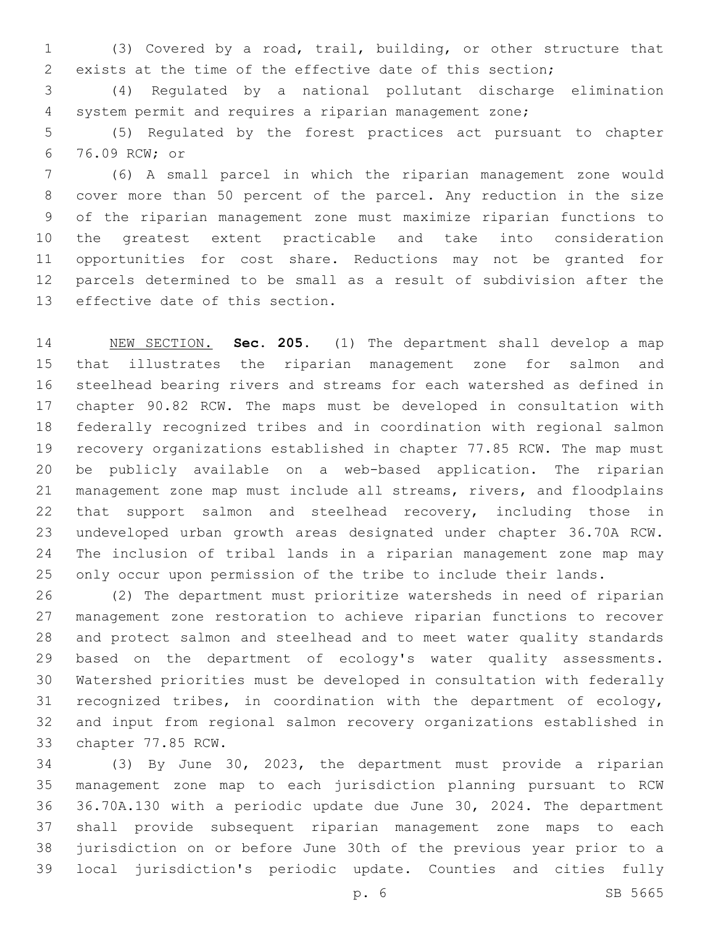(3) Covered by a road, trail, building, or other structure that exists at the time of the effective date of this section;

 (4) Regulated by a national pollutant discharge elimination system permit and requires a riparian management zone;

 (5) Regulated by the forest practices act pursuant to chapter 76.09 RCW; or6

 (6) A small parcel in which the riparian management zone would cover more than 50 percent of the parcel. Any reduction in the size of the riparian management zone must maximize riparian functions to the greatest extent practicable and take into consideration opportunities for cost share. Reductions may not be granted for parcels determined to be small as a result of subdivision after the 13 effective date of this section.

 NEW SECTION. **Sec. 205.** (1) The department shall develop a map that illustrates the riparian management zone for salmon and steelhead bearing rivers and streams for each watershed as defined in chapter 90.82 RCW. The maps must be developed in consultation with federally recognized tribes and in coordination with regional salmon recovery organizations established in chapter 77.85 RCW. The map must be publicly available on a web-based application. The riparian management zone map must include all streams, rivers, and floodplains that support salmon and steelhead recovery, including those in undeveloped urban growth areas designated under chapter 36.70A RCW. The inclusion of tribal lands in a riparian management zone map may only occur upon permission of the tribe to include their lands.

 (2) The department must prioritize watersheds in need of riparian management zone restoration to achieve riparian functions to recover and protect salmon and steelhead and to meet water quality standards based on the department of ecology's water quality assessments. Watershed priorities must be developed in consultation with federally recognized tribes, in coordination with the department of ecology, and input from regional salmon recovery organizations established in 33 chapter 77.85 RCW.

 (3) By June 30, 2023, the department must provide a riparian management zone map to each jurisdiction planning pursuant to RCW 36.70A.130 with a periodic update due June 30, 2024. The department shall provide subsequent riparian management zone maps to each jurisdiction on or before June 30th of the previous year prior to a local jurisdiction's periodic update. Counties and cities fully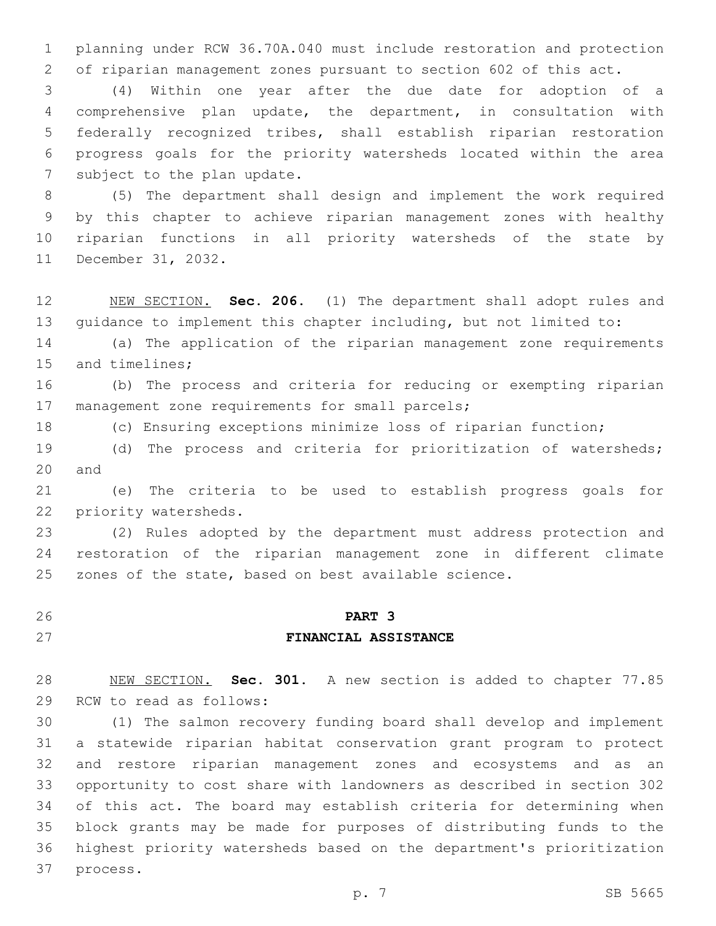planning under RCW 36.70A.040 must include restoration and protection of riparian management zones pursuant to section 602 of this act.

 (4) Within one year after the due date for adoption of a comprehensive plan update, the department, in consultation with federally recognized tribes, shall establish riparian restoration progress goals for the priority watersheds located within the area 7 subject to the plan update.

 (5) The department shall design and implement the work required by this chapter to achieve riparian management zones with healthy riparian functions in all priority watersheds of the state by 11 December 31, 2032.

 NEW SECTION. **Sec. 206.** (1) The department shall adopt rules and guidance to implement this chapter including, but not limited to:

 (a) The application of the riparian management zone requirements 15 and timelines;

 (b) The process and criteria for reducing or exempting riparian 17 management zone requirements for small parcels;

(c) Ensuring exceptions minimize loss of riparian function;

 (d) The process and criteria for prioritization of watersheds; 20 and

 (e) The criteria to be used to establish progress goals for 22 priority watersheds.

 (2) Rules adopted by the department must address protection and restoration of the riparian management zone in different climate zones of the state, based on best available science.

## **PART 3**

## **FINANCIAL ASSISTANCE**

 NEW SECTION. **Sec. 301.** A new section is added to chapter 77.85 29 RCW to read as follows:

 (1) The salmon recovery funding board shall develop and implement a statewide riparian habitat conservation grant program to protect and restore riparian management zones and ecosystems and as an opportunity to cost share with landowners as described in section 302 of this act. The board may establish criteria for determining when block grants may be made for purposes of distributing funds to the highest priority watersheds based on the department's prioritization 37 process.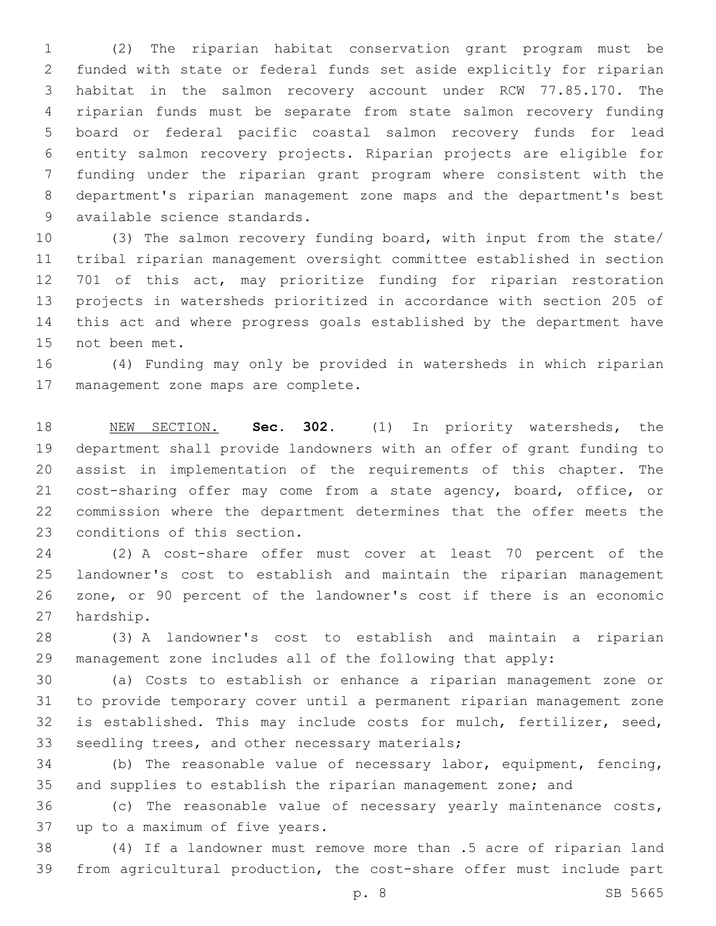(2) The riparian habitat conservation grant program must be funded with state or federal funds set aside explicitly for riparian habitat in the salmon recovery account under RCW 77.85.170. The riparian funds must be separate from state salmon recovery funding board or federal pacific coastal salmon recovery funds for lead entity salmon recovery projects. Riparian projects are eligible for funding under the riparian grant program where consistent with the department's riparian management zone maps and the department's best 9 available science standards.

 (3) The salmon recovery funding board, with input from the state/ tribal riparian management oversight committee established in section 701 of this act, may prioritize funding for riparian restoration projects in watersheds prioritized in accordance with section 205 of this act and where progress goals established by the department have 15 not been met.

 (4) Funding may only be provided in watersheds in which riparian 17 management zone maps are complete.

 NEW SECTION. **Sec. 302.** (1) In priority watersheds, the department shall provide landowners with an offer of grant funding to assist in implementation of the requirements of this chapter. The cost-sharing offer may come from a state agency, board, office, or commission where the department determines that the offer meets the conditions of this section.

 (2) A cost-share offer must cover at least 70 percent of the landowner's cost to establish and maintain the riparian management zone, or 90 percent of the landowner's cost if there is an economic 27 hardship.

 (3) A landowner's cost to establish and maintain a riparian management zone includes all of the following that apply:

 (a) Costs to establish or enhance a riparian management zone or to provide temporary cover until a permanent riparian management zone is established. This may include costs for mulch, fertilizer, seed, 33 seedling trees, and other necessary materials;

 (b) The reasonable value of necessary labor, equipment, fencing, and supplies to establish the riparian management zone; and

 (c) The reasonable value of necessary yearly maintenance costs, 37 up to a maximum of five years.

 (4) If a landowner must remove more than .5 acre of riparian land from agricultural production, the cost-share offer must include part

p. 8 SB 5665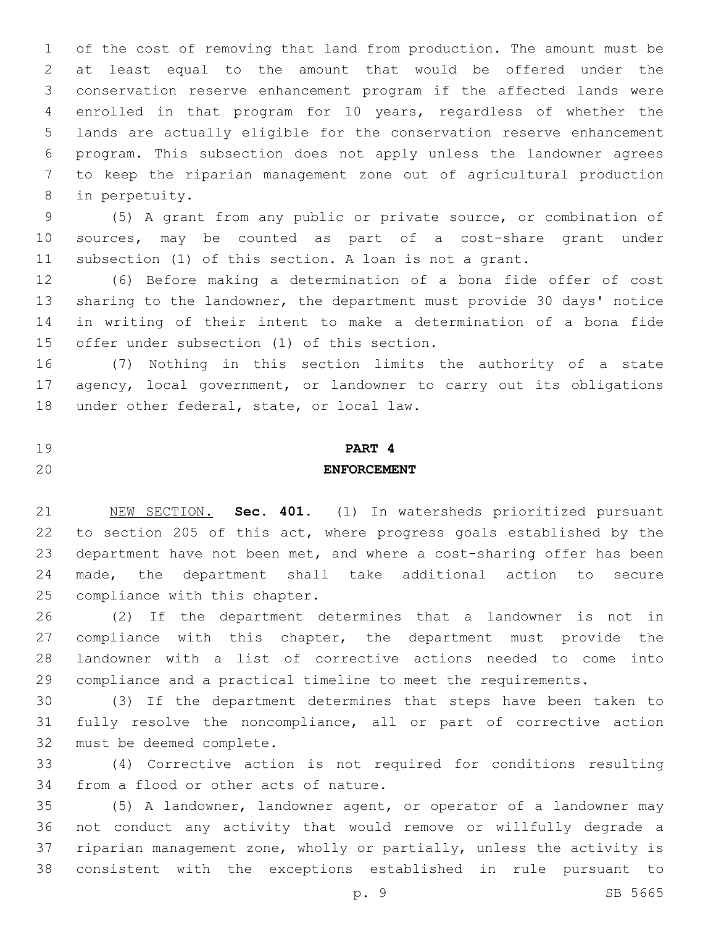of the cost of removing that land from production. The amount must be at least equal to the amount that would be offered under the conservation reserve enhancement program if the affected lands were enrolled in that program for 10 years, regardless of whether the lands are actually eligible for the conservation reserve enhancement program. This subsection does not apply unless the landowner agrees to keep the riparian management zone out of agricultural production 8 in perpetuity.

 (5) A grant from any public or private source, or combination of sources, may be counted as part of a cost-share grant under subsection (1) of this section. A loan is not a grant.

 (6) Before making a determination of a bona fide offer of cost sharing to the landowner, the department must provide 30 days' notice in writing of their intent to make a determination of a bona fide 15 offer under subsection (1) of this section.

 (7) Nothing in this section limits the authority of a state 17 agency, local government, or landowner to carry out its obligations 18 under other federal, state, or local law.

# **PART 4**

## **ENFORCEMENT**

 NEW SECTION. **Sec. 401.** (1) In watersheds prioritized pursuant to section 205 of this act, where progress goals established by the 23 department have not been met, and where a cost-sharing offer has been made, the department shall take additional action to secure compliance with this chapter.

 (2) If the department determines that a landowner is not in compliance with this chapter, the department must provide the landowner with a list of corrective actions needed to come into compliance and a practical timeline to meet the requirements.

 (3) If the department determines that steps have been taken to fully resolve the noncompliance, all or part of corrective action 32 must be deemed complete.

 (4) Corrective action is not required for conditions resulting 34 from a flood or other acts of nature.

 (5) A landowner, landowner agent, or operator of a landowner may not conduct any activity that would remove or willfully degrade a riparian management zone, wholly or partially, unless the activity is consistent with the exceptions established in rule pursuant to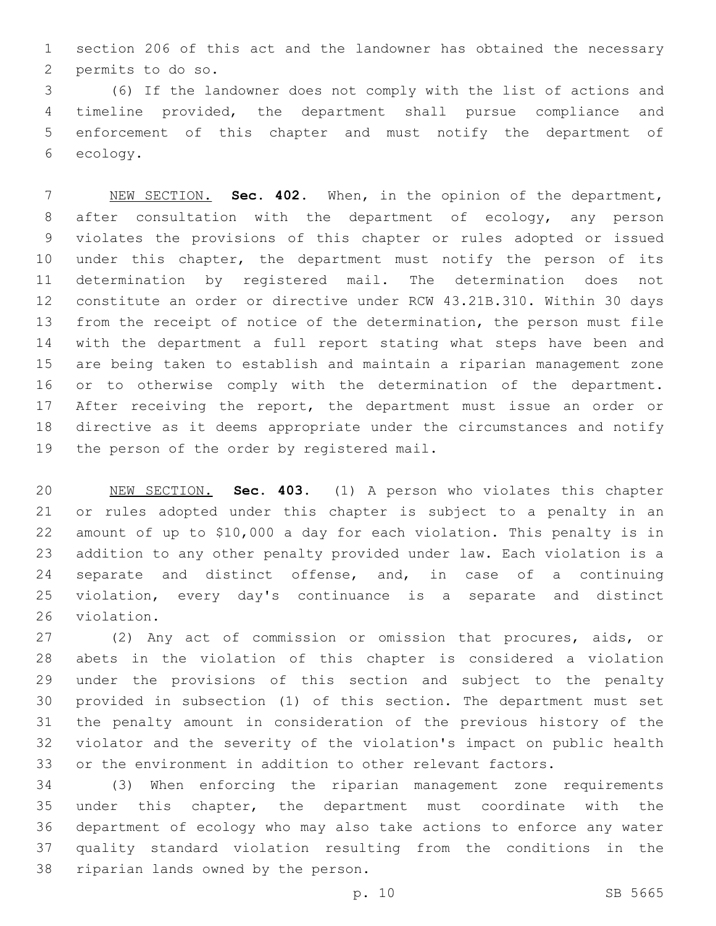section 206 of this act and the landowner has obtained the necessary 2 permits to do so.

 (6) If the landowner does not comply with the list of actions and timeline provided, the department shall pursue compliance and enforcement of this chapter and must notify the department of 6 ecology.

 NEW SECTION. **Sec. 402.** When, in the opinion of the department, after consultation with the department of ecology, any person violates the provisions of this chapter or rules adopted or issued 10 under this chapter, the department must notify the person of its determination by registered mail. The determination does not constitute an order or directive under RCW 43.21B.310. Within 30 days from the receipt of notice of the determination, the person must file with the department a full report stating what steps have been and are being taken to establish and maintain a riparian management zone or to otherwise comply with the determination of the department. After receiving the report, the department must issue an order or directive as it deems appropriate under the circumstances and notify the person of the order by registered mail.

 NEW SECTION. **Sec. 403.** (1) A person who violates this chapter or rules adopted under this chapter is subject to a penalty in an amount of up to \$10,000 a day for each violation. This penalty is in addition to any other penalty provided under law. Each violation is a separate and distinct offense, and, in case of a continuing violation, every day's continuance is a separate and distinct violation.

 (2) Any act of commission or omission that procures, aids, or abets in the violation of this chapter is considered a violation under the provisions of this section and subject to the penalty provided in subsection (1) of this section. The department must set the penalty amount in consideration of the previous history of the violator and the severity of the violation's impact on public health or the environment in addition to other relevant factors.

 (3) When enforcing the riparian management zone requirements under this chapter, the department must coordinate with the department of ecology who may also take actions to enforce any water quality standard violation resulting from the conditions in the 38 riparian lands owned by the person.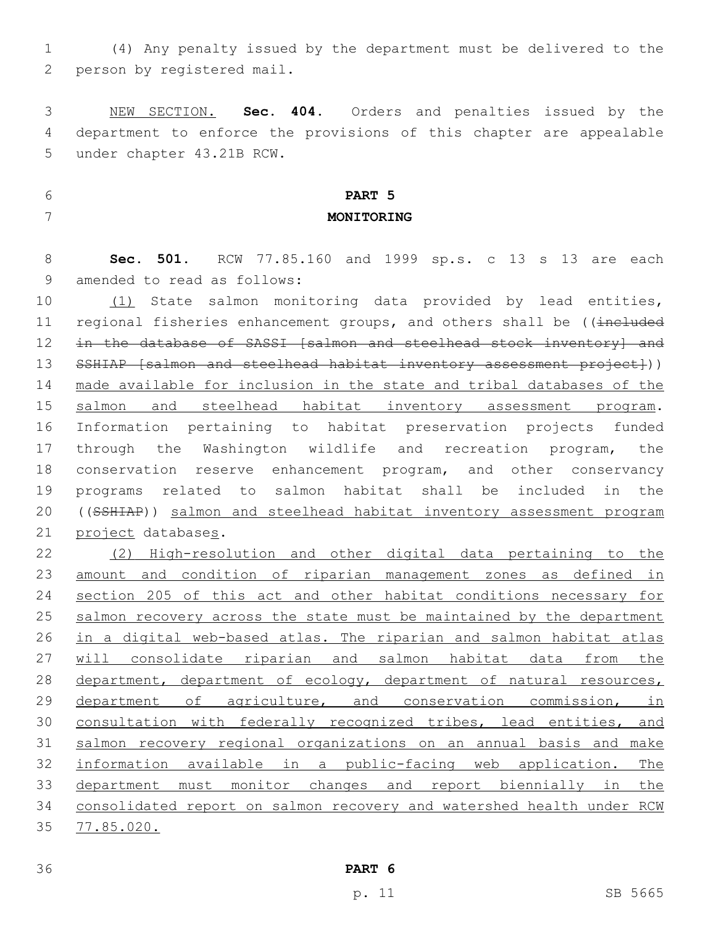(4) Any penalty issued by the department must be delivered to the 2 person by registered mail.

 NEW SECTION. **Sec. 404.** Orders and penalties issued by the department to enforce the provisions of this chapter are appealable under chapter 43.21B RCW.

# **PART 5 MONITORING**

 **Sec. 501.** RCW 77.85.160 and 1999 sp.s. c 13 s 13 are each 9 amended to read as follows:

 (1) State salmon monitoring data provided by lead entities, 11 regional fisheries enhancement groups, and others shall be ((included 12 in the database of SASSI [salmon and steelhead stock inventory] and 13 SSHIAP [salmon and steelhead habitat inventory assessment project])) made available for inclusion in the state and tribal databases of the salmon and steelhead habitat inventory assessment program. Information pertaining to habitat preservation projects funded through the Washington wildlife and recreation program, the conservation reserve enhancement program, and other conservancy programs related to salmon habitat shall be included in the ((SSHIAP)) salmon and steelhead habitat inventory assessment program 21 project databases.

 (2) High-resolution and other digital data pertaining to the amount and condition of riparian management zones as defined in section 205 of this act and other habitat conditions necessary for 25 salmon recovery across the state must be maintained by the department in a digital web-based atlas. The riparian and salmon habitat atlas 27 will consolidate riparian and salmon habitat data from the 28 department, department of ecology, department of natural resources, 29 department of agriculture, and conservation commission, in consultation with federally recognized tribes, lead entities, and salmon recovery regional organizations on an annual basis and make information available in a public-facing web application. The department must monitor changes and report biennially in the consolidated report on salmon recovery and watershed health under RCW 77.85.020.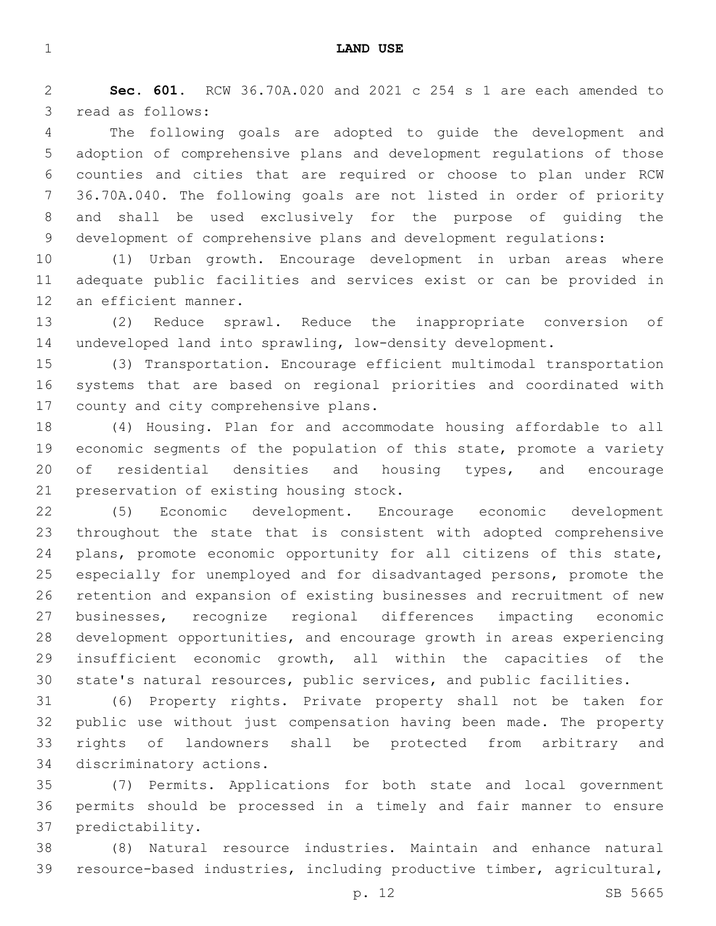**Sec. 601.** RCW 36.70A.020 and 2021 c 254 s 1 are each amended to 3 read as follows:

 The following goals are adopted to guide the development and adoption of comprehensive plans and development regulations of those counties and cities that are required or choose to plan under RCW 36.70A.040. The following goals are not listed in order of priority and shall be used exclusively for the purpose of guiding the development of comprehensive plans and development regulations:

 (1) Urban growth. Encourage development in urban areas where adequate public facilities and services exist or can be provided in 12 an efficient manner.

 (2) Reduce sprawl. Reduce the inappropriate conversion of undeveloped land into sprawling, low-density development.

 (3) Transportation. Encourage efficient multimodal transportation systems that are based on regional priorities and coordinated with 17 county and city comprehensive plans.

 (4) Housing. Plan for and accommodate housing affordable to all economic segments of the population of this state, promote a variety 20 of residential densities and housing types, and encourage 21 preservation of existing housing stock.

 (5) Economic development. Encourage economic development throughout the state that is consistent with adopted comprehensive 24 plans, promote economic opportunity for all citizens of this state, especially for unemployed and for disadvantaged persons, promote the retention and expansion of existing businesses and recruitment of new businesses, recognize regional differences impacting economic development opportunities, and encourage growth in areas experiencing insufficient economic growth, all within the capacities of the state's natural resources, public services, and public facilities.

 (6) Property rights. Private property shall not be taken for public use without just compensation having been made. The property rights of landowners shall be protected from arbitrary and 34 discriminatory actions.

 (7) Permits. Applications for both state and local government permits should be processed in a timely and fair manner to ensure 37 predictability.

 (8) Natural resource industries. Maintain and enhance natural resource-based industries, including productive timber, agricultural,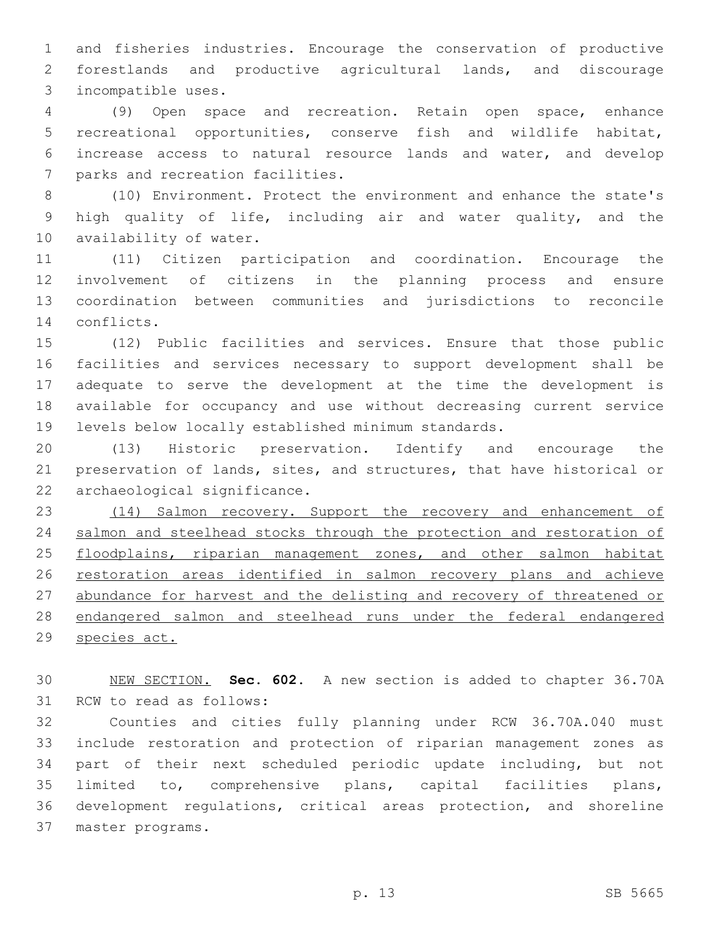and fisheries industries. Encourage the conservation of productive forestlands and productive agricultural lands, and discourage 3 incompatible uses.

 (9) Open space and recreation. Retain open space, enhance recreational opportunities, conserve fish and wildlife habitat, increase access to natural resource lands and water, and develop 7 parks and recreation facilities.

 (10) Environment. Protect the environment and enhance the state's high quality of life, including air and water quality, and the 10 availability of water.

 (11) Citizen participation and coordination. Encourage the involvement of citizens in the planning process and ensure coordination between communities and jurisdictions to reconcile 14 conflicts.

 (12) Public facilities and services. Ensure that those public facilities and services necessary to support development shall be adequate to serve the development at the time the development is available for occupancy and use without decreasing current service levels below locally established minimum standards.

 (13) Historic preservation. Identify and encourage the preservation of lands, sites, and structures, that have historical or 22 archaeological significance.

 (14) Salmon recovery. Support the recovery and enhancement of salmon and steelhead stocks through the protection and restoration of 25 floodplains, riparian management zones, and other salmon habitat restoration areas identified in salmon recovery plans and achieve abundance for harvest and the delisting and recovery of threatened or endangered salmon and steelhead runs under the federal endangered species act.

 NEW SECTION. **Sec. 602.** A new section is added to chapter 36.70A 31 RCW to read as follows:

 Counties and cities fully planning under RCW 36.70A.040 must include restoration and protection of riparian management zones as part of their next scheduled periodic update including, but not limited to, comprehensive plans, capital facilities plans, development regulations, critical areas protection, and shoreline 37 master programs.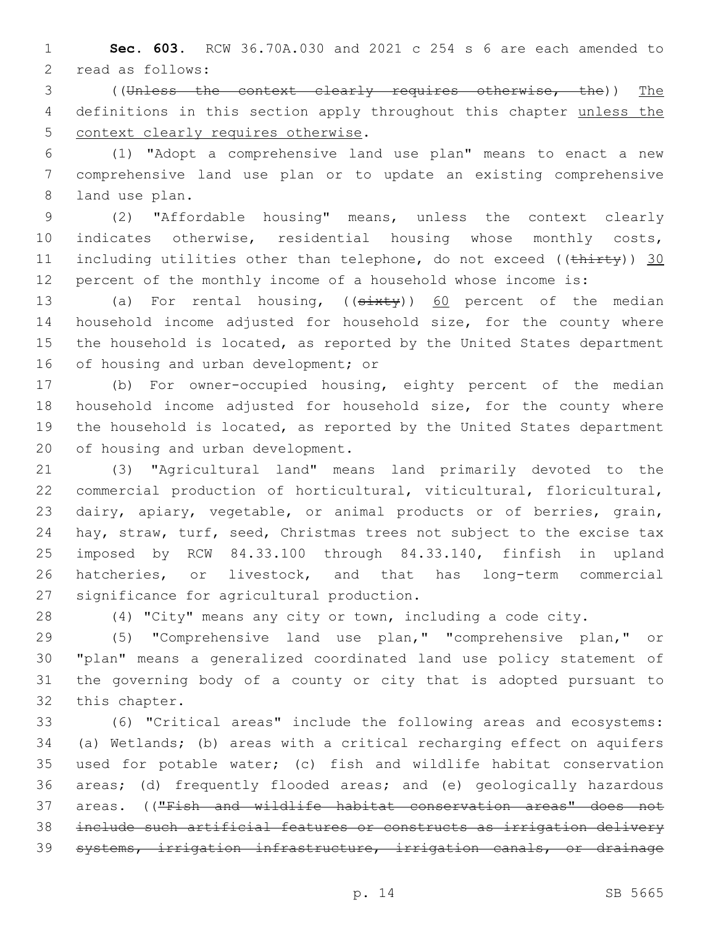**Sec. 603.** RCW 36.70A.030 and 2021 c 254 s 6 are each amended to 2 read as follows:

 ((Unless the context clearly requires otherwise, the)) The 4 definitions in this section apply throughout this chapter unless the 5 context clearly requires otherwise.

 (1) "Adopt a comprehensive land use plan" means to enact a new comprehensive land use plan or to update an existing comprehensive 8 land use plan.

 (2) "Affordable housing" means, unless the context clearly indicates otherwise, residential housing whose monthly costs, 11 including utilities other than telephone, do not exceed (( $\text{thirty}$ ) 30 percent of the monthly income of a household whose income is:

13 (a) For rental housing, ((sixty)) 60 percent of the median household income adjusted for household size, for the county where 15 the household is located, as reported by the United States department 16 of housing and urban development; or

 (b) For owner-occupied housing, eighty percent of the median household income adjusted for household size, for the county where the household is located, as reported by the United States department 20 of housing and urban development.

 (3) "Agricultural land" means land primarily devoted to the commercial production of horticultural, viticultural, floricultural, dairy, apiary, vegetable, or animal products or of berries, grain, hay, straw, turf, seed, Christmas trees not subject to the excise tax imposed by RCW 84.33.100 through 84.33.140, finfish in upland hatcheries, or livestock, and that has long-term commercial 27 significance for agricultural production.

(4) "City" means any city or town, including a code city.

 (5) "Comprehensive land use plan," "comprehensive plan," or "plan" means a generalized coordinated land use policy statement of the governing body of a county or city that is adopted pursuant to 32 this chapter.

 (6) "Critical areas" include the following areas and ecosystems: (a) Wetlands; (b) areas with a critical recharging effect on aquifers used for potable water; (c) fish and wildlife habitat conservation areas; (d) frequently flooded areas; and (e) geologically hazardous areas. (("Fish and wildlife habitat conservation areas" does not include such artificial features or constructs as irrigation delivery systems, irrigation infrastructure, irrigation canals, or drainage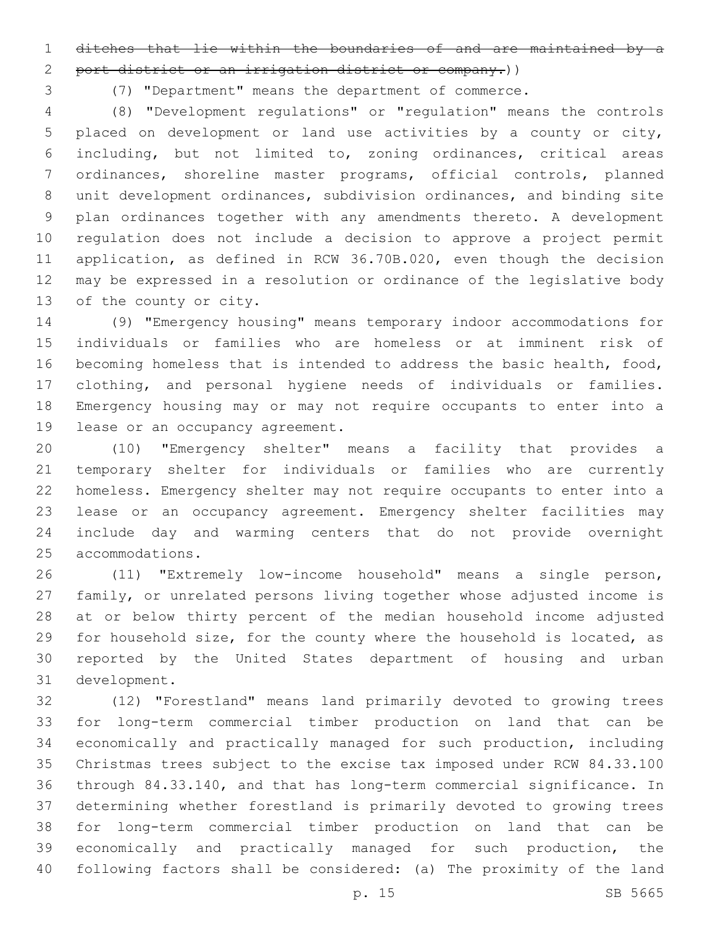ditches that lie within the boundaries of and are maintained by a

2 port district or an irrigation district or company.))

(7) "Department" means the department of commerce.

 (8) "Development regulations" or "regulation" means the controls placed on development or land use activities by a county or city, including, but not limited to, zoning ordinances, critical areas ordinances, shoreline master programs, official controls, planned unit development ordinances, subdivision ordinances, and binding site plan ordinances together with any amendments thereto. A development regulation does not include a decision to approve a project permit application, as defined in RCW 36.70B.020, even though the decision may be expressed in a resolution or ordinance of the legislative body 13 of the county or city.

 (9) "Emergency housing" means temporary indoor accommodations for individuals or families who are homeless or at imminent risk of becoming homeless that is intended to address the basic health, food, clothing, and personal hygiene needs of individuals or families. Emergency housing may or may not require occupants to enter into a 19 lease or an occupancy agreement.

 (10) "Emergency shelter" means a facility that provides a temporary shelter for individuals or families who are currently homeless. Emergency shelter may not require occupants to enter into a lease or an occupancy agreement. Emergency shelter facilities may include day and warming centers that do not provide overnight 25 accommodations.

 (11) "Extremely low-income household" means a single person, family, or unrelated persons living together whose adjusted income is at or below thirty percent of the median household income adjusted for household size, for the county where the household is located, as reported by the United States department of housing and urban 31 development.

 (12) "Forestland" means land primarily devoted to growing trees for long-term commercial timber production on land that can be economically and practically managed for such production, including Christmas trees subject to the excise tax imposed under RCW 84.33.100 through 84.33.140, and that has long-term commercial significance. In determining whether forestland is primarily devoted to growing trees for long-term commercial timber production on land that can be economically and practically managed for such production, the following factors shall be considered: (a) The proximity of the land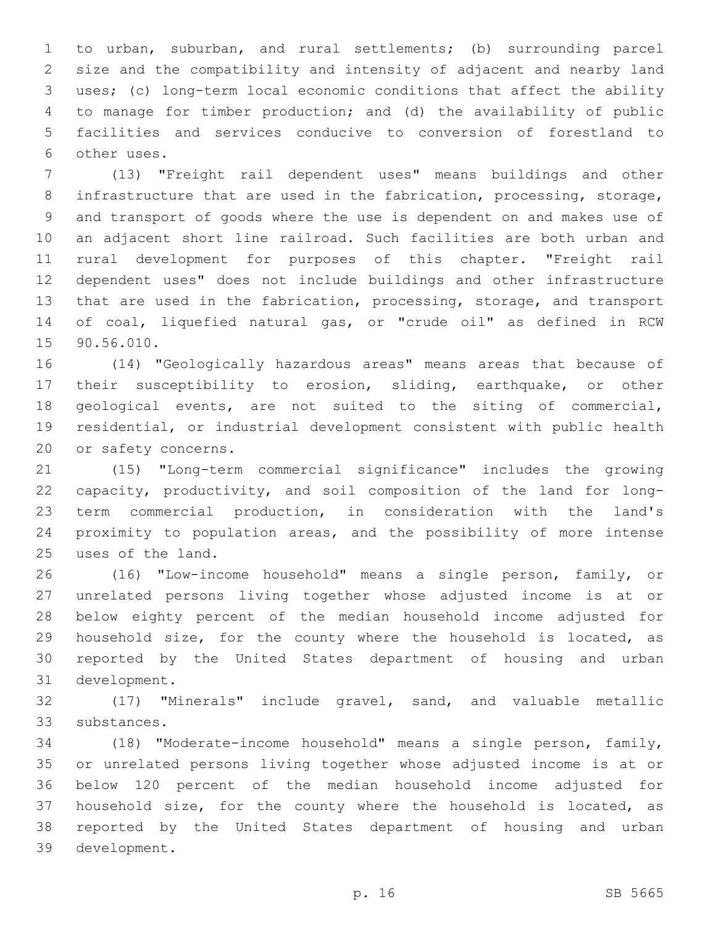to urban, suburban, and rural settlements; (b) surrounding parcel size and the compatibility and intensity of adjacent and nearby land uses; (c) long-term local economic conditions that affect the ability to manage for timber production; and (d) the availability of public facilities and services conducive to conversion of forestland to 6 other uses.

 (13) "Freight rail dependent uses" means buildings and other infrastructure that are used in the fabrication, processing, storage, and transport of goods where the use is dependent on and makes use of an adjacent short line railroad. Such facilities are both urban and rural development for purposes of this chapter. "Freight rail dependent uses" does not include buildings and other infrastructure that are used in the fabrication, processing, storage, and transport of coal, liquefied natural gas, or "crude oil" as defined in RCW 15 90.56.010.

 (14) "Geologically hazardous areas" means areas that because of their susceptibility to erosion, sliding, earthquake, or other geological events, are not suited to the siting of commercial, residential, or industrial development consistent with public health 20 or safety concerns.

 (15) "Long-term commercial significance" includes the growing capacity, productivity, and soil composition of the land for long- term commercial production, in consideration with the land's proximity to population areas, and the possibility of more intense 25 uses of the land.

 (16) "Low-income household" means a single person, family, or unrelated persons living together whose adjusted income is at or below eighty percent of the median household income adjusted for household size, for the county where the household is located, as reported by the United States department of housing and urban 31 development.

 (17) "Minerals" include gravel, sand, and valuable metallic 33 substances.

 (18) "Moderate-income household" means a single person, family, or unrelated persons living together whose adjusted income is at or below 120 percent of the median household income adjusted for household size, for the county where the household is located, as reported by the United States department of housing and urban 39 development.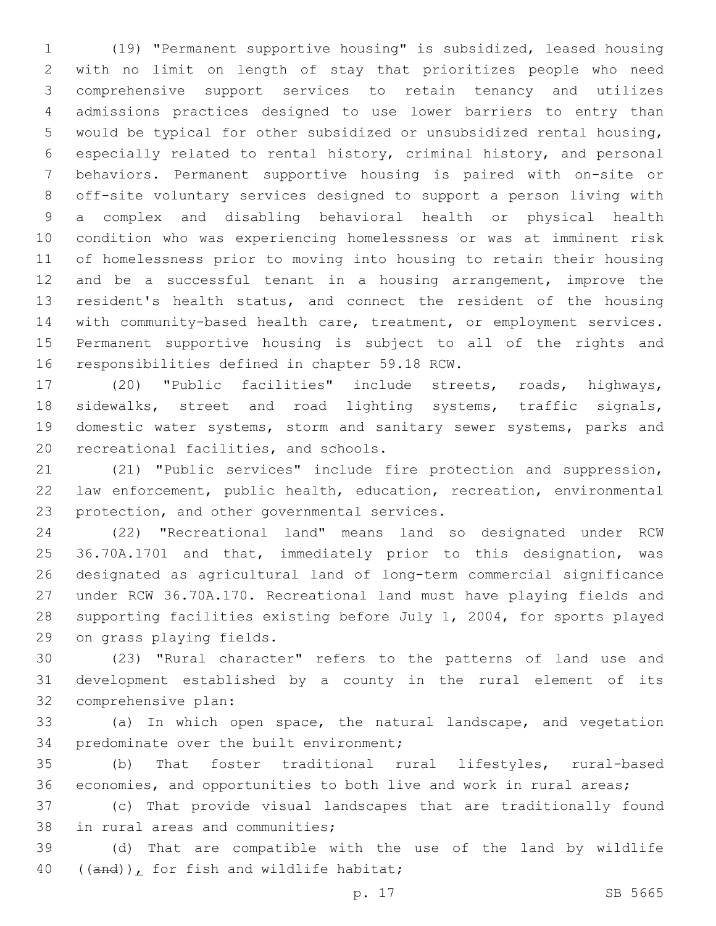(19) "Permanent supportive housing" is subsidized, leased housing with no limit on length of stay that prioritizes people who need comprehensive support services to retain tenancy and utilizes admissions practices designed to use lower barriers to entry than would be typical for other subsidized or unsubsidized rental housing, especially related to rental history, criminal history, and personal behaviors. Permanent supportive housing is paired with on-site or off-site voluntary services designed to support a person living with a complex and disabling behavioral health or physical health condition who was experiencing homelessness or was at imminent risk of homelessness prior to moving into housing to retain their housing and be a successful tenant in a housing arrangement, improve the resident's health status, and connect the resident of the housing with community-based health care, treatment, or employment services. Permanent supportive housing is subject to all of the rights and 16 responsibilities defined in chapter 59.18 RCW.

 (20) "Public facilities" include streets, roads, highways, sidewalks, street and road lighting systems, traffic signals, domestic water systems, storm and sanitary sewer systems, parks and 20 recreational facilities, and schools.

 (21) "Public services" include fire protection and suppression, law enforcement, public health, education, recreation, environmental 23 protection, and other governmental services.

 (22) "Recreational land" means land so designated under RCW 36.70A.1701 and that, immediately prior to this designation, was designated as agricultural land of long-term commercial significance under RCW 36.70A.170. Recreational land must have playing fields and supporting facilities existing before July 1, 2004, for sports played 29 on grass playing fields.

 (23) "Rural character" refers to the patterns of land use and development established by a county in the rural element of its 32 comprehensive plan:

 (a) In which open space, the natural landscape, and vegetation 34 predominate over the built environment;

 (b) That foster traditional rural lifestyles, rural-based economies, and opportunities to both live and work in rural areas;

 (c) That provide visual landscapes that are traditionally found 38 in rural areas and communities;

 (d) That are compatible with the use of the land by wildlife 40  $((and))$ , for fish and wildlife habitat;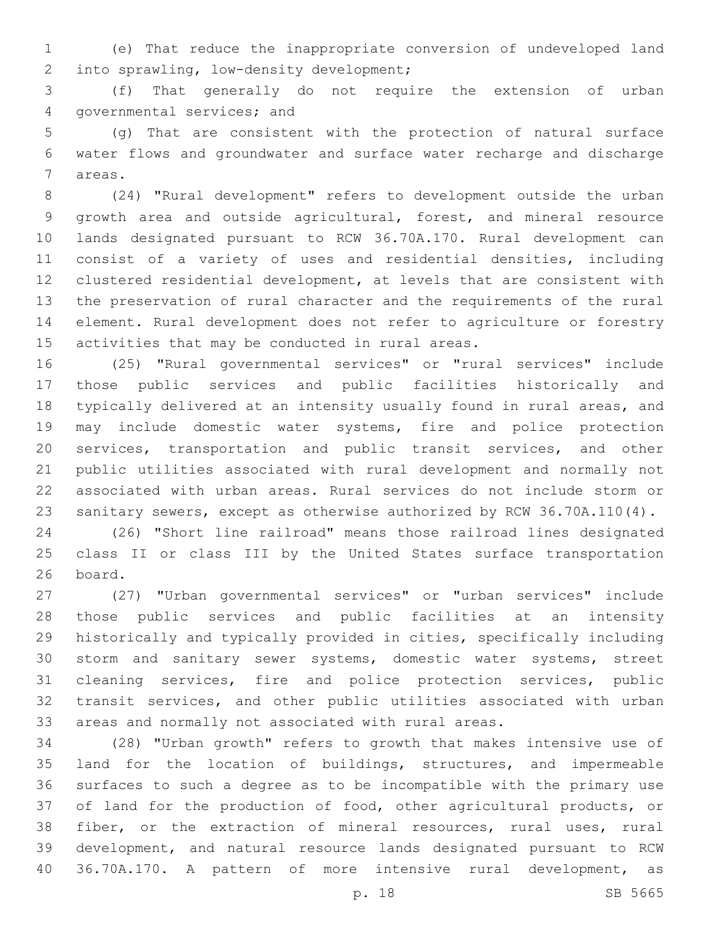(e) That reduce the inappropriate conversion of undeveloped land 2 into sprawling, low-density development;

 (f) That generally do not require the extension of urban 4 governmental services; and

 (g) That are consistent with the protection of natural surface water flows and groundwater and surface water recharge and discharge 7 areas.

 (24) "Rural development" refers to development outside the urban growth area and outside agricultural, forest, and mineral resource lands designated pursuant to RCW 36.70A.170. Rural development can consist of a variety of uses and residential densities, including clustered residential development, at levels that are consistent with the preservation of rural character and the requirements of the rural element. Rural development does not refer to agriculture or forestry 15 activities that may be conducted in rural areas.

 (25) "Rural governmental services" or "rural services" include those public services and public facilities historically and typically delivered at an intensity usually found in rural areas, and may include domestic water systems, fire and police protection services, transportation and public transit services, and other public utilities associated with rural development and normally not associated with urban areas. Rural services do not include storm or sanitary sewers, except as otherwise authorized by RCW 36.70A.110(4).

 (26) "Short line railroad" means those railroad lines designated class II or class III by the United States surface transportation 26 board.

 (27) "Urban governmental services" or "urban services" include those public services and public facilities at an intensity historically and typically provided in cities, specifically including storm and sanitary sewer systems, domestic water systems, street cleaning services, fire and police protection services, public transit services, and other public utilities associated with urban areas and normally not associated with rural areas.

 (28) "Urban growth" refers to growth that makes intensive use of land for the location of buildings, structures, and impermeable surfaces to such a degree as to be incompatible with the primary use of land for the production of food, other agricultural products, or fiber, or the extraction of mineral resources, rural uses, rural development, and natural resource lands designated pursuant to RCW 36.70A.170. A pattern of more intensive rural development, as

p. 18 SB 5665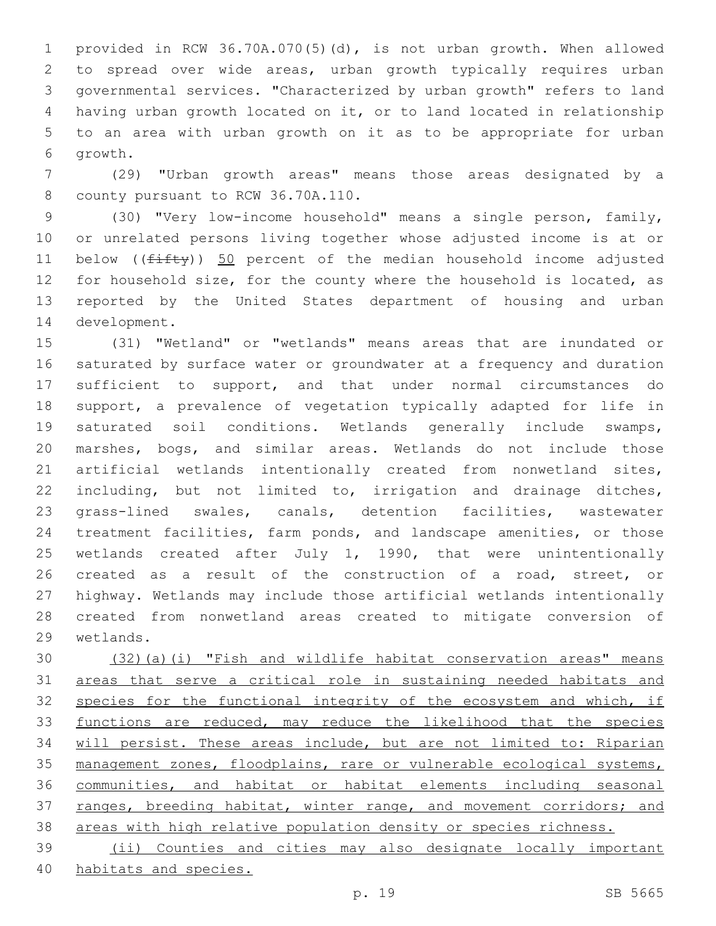provided in RCW 36.70A.070(5)(d), is not urban growth. When allowed to spread over wide areas, urban growth typically requires urban governmental services. "Characterized by urban growth" refers to land having urban growth located on it, or to land located in relationship to an area with urban growth on it as to be appropriate for urban 6 qrowth.

 (29) "Urban growth areas" means those areas designated by a 8 county pursuant to RCW 36.70A.110.

 (30) "Very low-income household" means a single person, family, or unrelated persons living together whose adjusted income is at or 11 below ( $(f\text{iff}y)$ ) 50 percent of the median household income adjusted for household size, for the county where the household is located, as reported by the United States department of housing and urban 14 development.

 (31) "Wetland" or "wetlands" means areas that are inundated or saturated by surface water or groundwater at a frequency and duration sufficient to support, and that under normal circumstances do support, a prevalence of vegetation typically adapted for life in saturated soil conditions. Wetlands generally include swamps, marshes, bogs, and similar areas. Wetlands do not include those artificial wetlands intentionally created from nonwetland sites, 22 including, but not limited to, irrigation and drainage ditches, grass-lined swales, canals, detention facilities, wastewater treatment facilities, farm ponds, and landscape amenities, or those wetlands created after July 1, 1990, that were unintentionally created as a result of the construction of a road, street, or highway. Wetlands may include those artificial wetlands intentionally created from nonwetland areas created to mitigate conversion of 29 wetlands.

 (32)(a)(i) "Fish and wildlife habitat conservation areas" means areas that serve a critical role in sustaining needed habitats and 32 species for the functional integrity of the ecosystem and which, if 33 functions are reduced, may reduce the likelihood that the species will persist. These areas include, but are not limited to: Riparian management zones, floodplains, rare or vulnerable ecological systems, communities, and habitat or habitat elements including seasonal 37 ranges, breeding habitat, winter range, and movement corridors; and areas with high relative population density or species richness. (ii) Counties and cities may also designate locally important

habitats and species.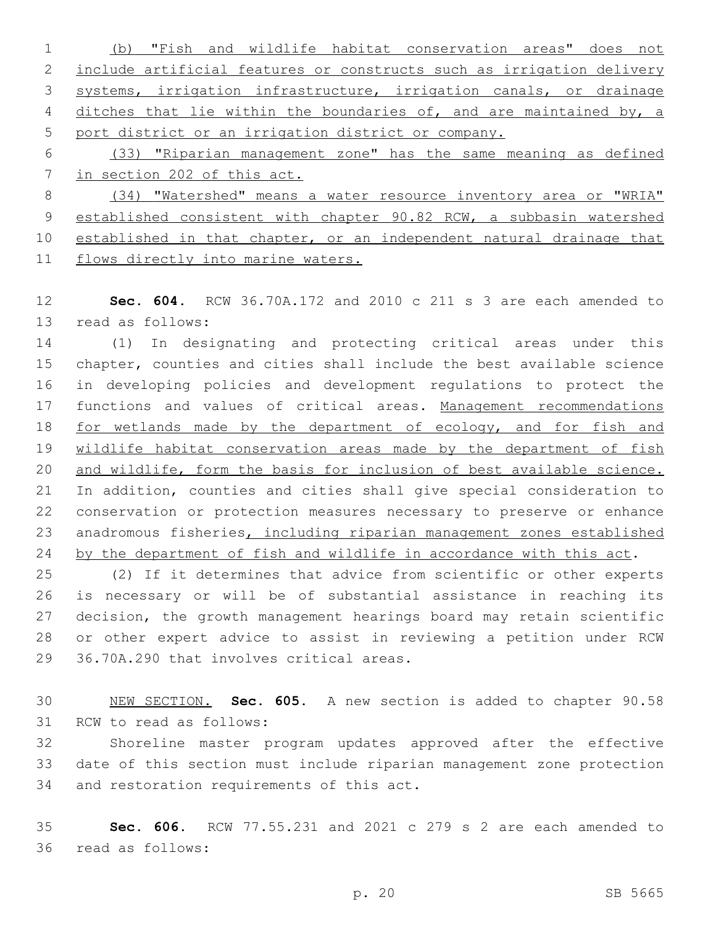| $1 \qquad \qquad$ | (b) "Fish and wildlife habitat conservation areas" does not             |
|-------------------|-------------------------------------------------------------------------|
|                   | 2 include artificial features or constructs such as irrigation delivery |
|                   | 3 systems, irrigation infrastructure, irrigation canals, or drainage    |
|                   | 4 ditches that lie within the boundaries of, and are maintained by, a   |
|                   | 5 port district or an irrigation district or company.                   |

 (33) "Riparian management zone" has the same meaning as defined in section 202 of this act.

 (34) "Watershed" means a water resource inventory area or "WRIA" established consistent with chapter 90.82 RCW, a subbasin watershed established in that chapter, or an independent natural drainage that flows directly into marine waters.

 **Sec. 604.** RCW 36.70A.172 and 2010 c 211 s 3 are each amended to 13 read as follows:

 (1) In designating and protecting critical areas under this chapter, counties and cities shall include the best available science in developing policies and development regulations to protect the functions and values of critical areas. Management recommendations 18 for wetlands made by the department of ecology, and for fish and wildlife habitat conservation areas made by the department of fish and wildlife, form the basis for inclusion of best available science. In addition, counties and cities shall give special consideration to conservation or protection measures necessary to preserve or enhance anadromous fisheries, including riparian management zones established 24 by the department of fish and wildlife in accordance with this act.

 (2) If it determines that advice from scientific or other experts is necessary or will be of substantial assistance in reaching its decision, the growth management hearings board may retain scientific or other expert advice to assist in reviewing a petition under RCW 29 36.70A.290 that involves critical areas.

 NEW SECTION. **Sec. 605.** A new section is added to chapter 90.58 31 RCW to read as follows:

 Shoreline master program updates approved after the effective date of this section must include riparian management zone protection 34 and restoration requirements of this act.

 **Sec. 606.** RCW 77.55.231 and 2021 c 279 s 2 are each amended to read as follows:36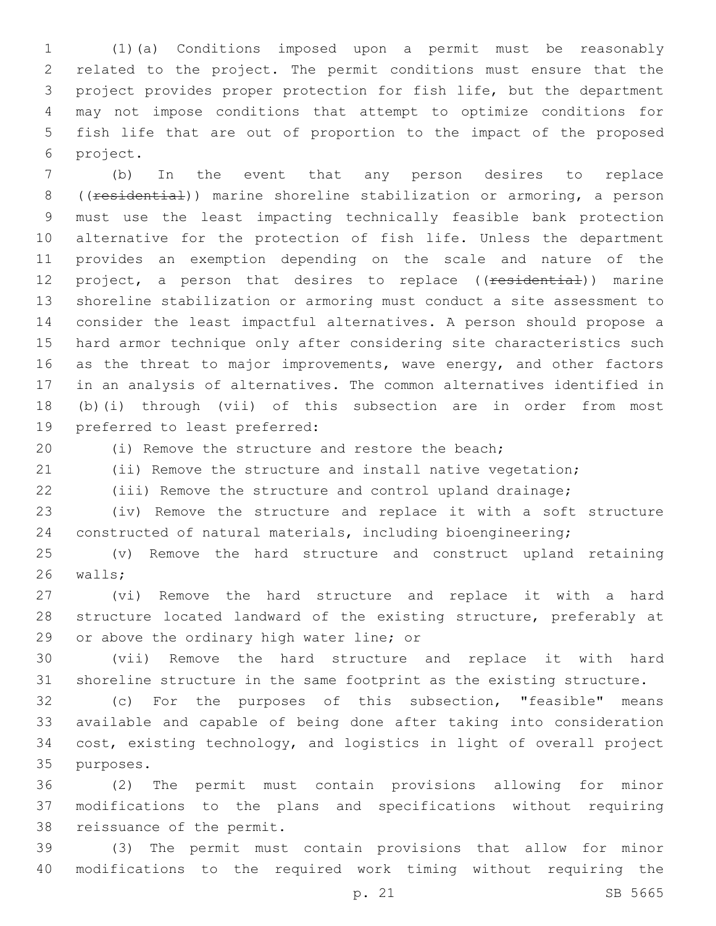(1)(a) Conditions imposed upon a permit must be reasonably related to the project. The permit conditions must ensure that the project provides proper protection for fish life, but the department may not impose conditions that attempt to optimize conditions for fish life that are out of proportion to the impact of the proposed 6 project.

 (b) In the event that any person desires to replace 8 ((residential)) marine shoreline stabilization or armoring, a person must use the least impacting technically feasible bank protection alternative for the protection of fish life. Unless the department provides an exemption depending on the scale and nature of the 12 project, a person that desires to replace ((residential)) marine shoreline stabilization or armoring must conduct a site assessment to consider the least impactful alternatives. A person should propose a hard armor technique only after considering site characteristics such 16 as the threat to major improvements, wave energy, and other factors in an analysis of alternatives. The common alternatives identified in (b)(i) through (vii) of this subsection are in order from most 19 preferred to least preferred:

(i) Remove the structure and restore the beach;

(ii) Remove the structure and install native vegetation;

(iii) Remove the structure and control upland drainage;

 (iv) Remove the structure and replace it with a soft structure constructed of natural materials, including bioengineering;

 (v) Remove the hard structure and construct upland retaining 26 walls;

 (vi) Remove the hard structure and replace it with a hard structure located landward of the existing structure, preferably at 29 or above the ordinary high water line; or

 (vii) Remove the hard structure and replace it with hard shoreline structure in the same footprint as the existing structure.

 (c) For the purposes of this subsection, "feasible" means available and capable of being done after taking into consideration cost, existing technology, and logistics in light of overall project 35 purposes.

 (2) The permit must contain provisions allowing for minor modifications to the plans and specifications without requiring 38 reissuance of the permit.

 (3) The permit must contain provisions that allow for minor modifications to the required work timing without requiring the